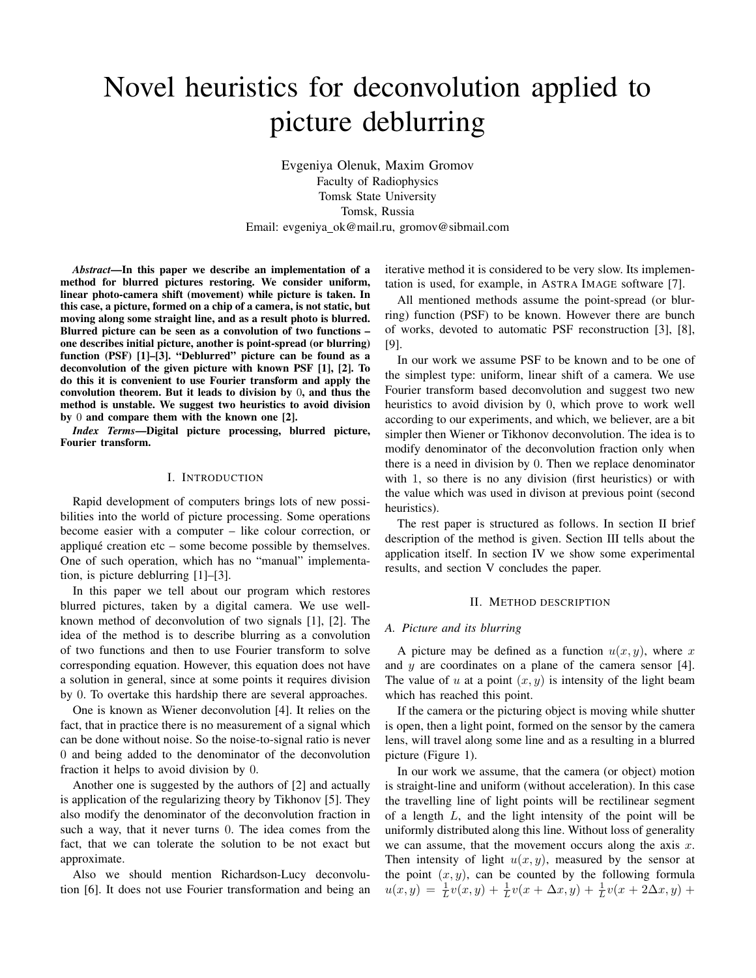# Novel heuristics for deconvolution applied to picture deblurring

Evgeniya Olenuk, Maxim Gromov Faculty of Radiophysics Tomsk State University Tomsk, Russia Email: evgeniya ok@mail.ru, gromov@sibmail.com

*Abstract*—In this paper we describe an implementation of a method for blurred pictures restoring. We consider uniform, linear photo-camera shift (movement) while picture is taken. In this case, a picture, formed on a chip of a camera, is not static, but moving along some straight line, and as a result photo is blurred. Blurred picture can be seen as a convolution of two functions – one describes initial picture, another is point-spread (or blurring) function (PSF) [1]–[3]. "Deblurred" picture can be found as a deconvolution of the given picture with known PSF [1], [2]. To do this it is convenient to use Fourier transform and apply the convolution theorem. But it leads to division by 0, and thus the method is unstable. We suggest two heuristics to avoid division by 0 and compare them with the known one [2].

*Index Terms*—Digital picture processing, blurred picture, Fourier transform.

# I. INTRODUCTION

Rapid development of computers brings lots of new possibilities into the world of picture processing. Some operations become easier with a computer – like colour correction, or appliqué creation etc – some become possible by themselves. One of such operation, which has no "manual" implementation, is picture deblurring [1]–[3].

In this paper we tell about our program which restores blurred pictures, taken by a digital camera. We use wellknown method of deconvolution of two signals [1], [2]. The idea of the method is to describe blurring as a convolution of two functions and then to use Fourier transform to solve corresponding equation. However, this equation does not have a solution in general, since at some points it requires division by 0. To overtake this hardship there are several approaches.

One is known as Wiener deconvolution [4]. It relies on the fact, that in practice there is no measurement of a signal which can be done without noise. So the noise-to-signal ratio is never 0 and being added to the denominator of the deconvolution fraction it helps to avoid division by 0.

Another one is suggested by the authors of [2] and actually is application of the regularizing theory by Tikhonov [5]. They also modify the denominator of the deconvolution fraction in such a way, that it never turns 0. The idea comes from the fact, that we can tolerate the solution to be not exact but approximate.

Also we should mention Richardson-Lucy deconvolution [6]. It does not use Fourier transformation and being an iterative method it is considered to be very slow. Its implementation is used, for example, in ASTRA IMAGE software [7].

All mentioned methods assume the point-spread (or blurring) function (PSF) to be known. However there are bunch of works, devoted to automatic PSF reconstruction [3], [8], [9].

In our work we assume PSF to be known and to be one of the simplest type: uniform, linear shift of a camera. We use Fourier transform based deconvolution and suggest two new heuristics to avoid division by 0, which prove to work well according to our experiments, and which, we believer, are a bit simpler then Wiener or Tikhonov deconvolution. The idea is to modify denominator of the deconvolution fraction only when there is a need in division by 0. Then we replace denominator with 1, so there is no any division (first heuristics) or with the value which was used in divison at previous point (second heuristics).

The rest paper is structured as follows. In section II brief description of the method is given. Section III tells about the application itself. In section IV we show some experimental results, and section V concludes the paper.

#### II. METHOD DESCRIPTION

#### *A. Picture and its blurring*

A picture may be defined as a function  $u(x, y)$ , where x and  $y$  are coordinates on a plane of the camera sensor [4]. The value of u at a point  $(x, y)$  is intensity of the light beam which has reached this point.

If the camera or the picturing object is moving while shutter is open, then a light point, formed on the sensor by the camera lens, will travel along some line and as a resulting in a blurred picture (Figure 1).

In our work we assume, that the camera (or object) motion is straight-line and uniform (without acceleration). In this case the travelling line of light points will be rectilinear segment of a length  $L$ , and the light intensity of the point will be uniformly distributed along this line. Without loss of generality we can assume, that the movement occurs along the axis  $x$ . Then intensity of light  $u(x, y)$ , measured by the sensor at the point  $(x, y)$ , can be counted by the following formula  $u(x, y) = \frac{1}{L}v(x, y) + \frac{1}{L}v(x + \Delta x, y) + \frac{1}{L}v(x + 2\Delta x, y) +$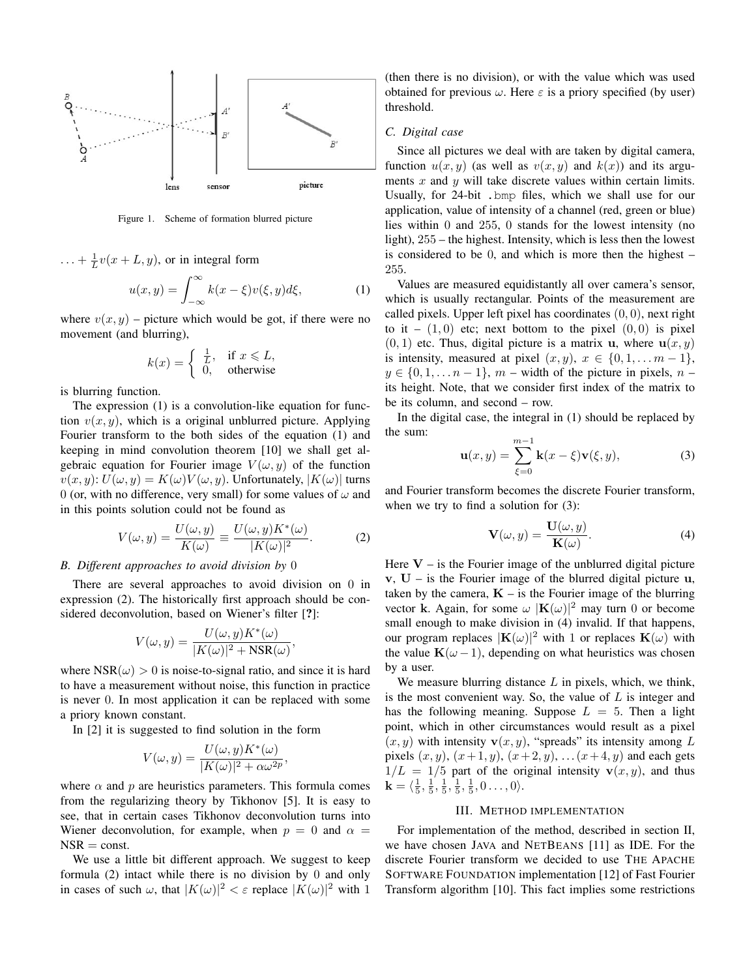

Figure 1. Scheme of formation blurred picture

$$
\ldots + \frac{1}{L}v(x+L,y), \text{ or in integral form}
$$

$$
u(x,y) = \int_{-\infty}^{\infty} k(x-\xi)v(\xi,y)d\xi,
$$
 (1)

where  $v(x, y)$  – picture which would be got, if there were no movement (and blurring),

$$
k(x) = \begin{cases} \frac{1}{L}, & \text{if } x \leq L, \\ 0, & \text{otherwise} \end{cases}
$$

is blurring function.

The expression (1) is a convolution-like equation for function  $v(x, y)$ , which is a original unblurred picture. Applying Fourier transform to the both sides of the equation (1) and keeping in mind convolution theorem [10] we shall get algebraic equation for Fourier image  $V(\omega, y)$  of the function  $v(x, y)$ :  $U(\omega, y) = K(\omega)V(\omega, y)$ . Unfortunately,  $|K(\omega)|$  turns 0 (or, with no difference, very small) for some values of  $\omega$  and in this points solution could not be found as

$$
V(\omega, y) = \frac{U(\omega, y)}{K(\omega)} \equiv \frac{U(\omega, y)K^*(\omega)}{|K(\omega)|^2}.
$$
 (2)

# *B. Different approaches to avoid division by* 0

There are several approaches to avoid division on 0 in expression (2). The historically first approach should be considered deconvolution, based on Wiener's filter [?]:

$$
V(\omega, y) = \frac{U(\omega, y)K^*(\omega)}{|K(\omega)|^2 + \text{NSR}(\omega)},
$$

where  $NSR(\omega) > 0$  is noise-to-signal ratio, and since it is hard to have a measurement without noise, this function in practice is never 0. In most application it can be replaced with some a priory known constant.

In [2] it is suggested to find solution in the form

$$
V(\omega, y) = \frac{U(\omega, y)K^*(\omega)}{|K(\omega)|^2 + \alpha \omega^{2p}},
$$

where  $\alpha$  and  $p$  are heuristics parameters. This formula comes from the regularizing theory by Tikhonov [5]. It is easy to see, that in certain cases Tikhonov deconvolution turns into Wiener deconvolution, for example, when  $p = 0$  and  $\alpha =$  $NSR = const.$ 

We use a little bit different approach. We suggest to keep formula (2) intact while there is no division by 0 and only in cases of such  $\omega$ , that  $|K(\omega)|^2 < \varepsilon$  replace  $|K(\omega)|^2$  with 1

(then there is no division), or with the value which was used obtained for previous  $\omega$ . Here  $\varepsilon$  is a priory specified (by user) threshold.

#### *C. Digital case*

Since all pictures we deal with are taken by digital camera, function  $u(x, y)$  (as well as  $v(x, y)$  and  $k(x)$ ) and its arguments  $x$  and  $y$  will take discrete values within certain limits. Usually, for 24-bit .bmp files, which we shall use for our application, value of intensity of a channel (red, green or blue) lies within 0 and 255, 0 stands for the lowest intensity (no light), 255 – the highest. Intensity, which is less then the lowest is considered to be 0, and which is more then the highest – 255.

Values are measured equidistantly all over camera's sensor, which is usually rectangular. Points of the measurement are called pixels. Upper left pixel has coordinates  $(0, 0)$ , next right to it –  $(1,0)$  etc; next bottom to the pixel  $(0,0)$  is pixel  $(0, 1)$  etc. Thus, digital picture is a matrix **u**, where **u** $(x, y)$ is intensity, measured at pixel  $(x, y)$ ,  $x \in \{0, 1, \ldots m - 1\}$ ,  $y \in \{0, 1, \ldots n-1\}$ ,  $m$  – width of the picture in pixels,  $n-1$ its height. Note, that we consider first index of the matrix to be its column, and second – row.

In the digital case, the integral in (1) should be replaced by the sum:

$$
\mathbf{u}(x,y) = \sum_{\xi=0}^{m-1} \mathbf{k}(x-\xi)\mathbf{v}(\xi,y),\tag{3}
$$

and Fourier transform becomes the discrete Fourier transform, when we try to find a solution for  $(3)$ :

$$
\mathbf{V}(\omega, y) = \frac{\mathbf{U}(\omega, y)}{\mathbf{K}(\omega)}.
$$
 (4)

Here  $V -$  is the Fourier image of the unblurred digital picture  $v, U -$  is the Fourier image of the blurred digital picture u, taken by the camera,  $K -$  is the Fourier image of the blurring vector k. Again, for some  $\omega$  |K $(\omega)$ |<sup>2</sup> may turn 0 or become small enough to make division in (4) invalid. If that happens, our program replaces  $|\mathbf{K}(\omega)|^2$  with 1 or replaces  $\mathbf{K}(\omega)$  with the value  ${\bf K}(\omega - 1)$ , depending on what heuristics was chosen by a user.

We measure blurring distance  $L$  in pixels, which, we think, is the most convenient way. So, the value of  $L$  is integer and has the following meaning. Suppose  $L = 5$ . Then a light point, which in other circumstances would result as a pixel  $(x, y)$  with intensity  $\mathbf{v}(x, y)$ , "spreads" its intensity among L pixels  $(x, y)$ ,  $(x + 1, y)$ ,  $(x + 2, y)$ , ...  $(x + 4, y)$  and each gets  $1/L = 1/5$  part of the original intensity  $\mathbf{v}(x, y)$ , and thus  $\mathbf{k} = \langle \frac{1}{5}, \frac{1}{5}, \frac{1}{5}, \frac{1}{5}, \frac{1}{5}, 0 \ldots, 0 \rangle.$ 

#### III. METHOD IMPLEMENTATION

For implementation of the method, described in section II, we have chosen JAVA and NETBEANS [11] as IDE. For the discrete Fourier transform we decided to use THE APACHE SOFTWARE FOUNDATION implementation [12] of Fast Fourier Transform algorithm [10]. This fact implies some restrictions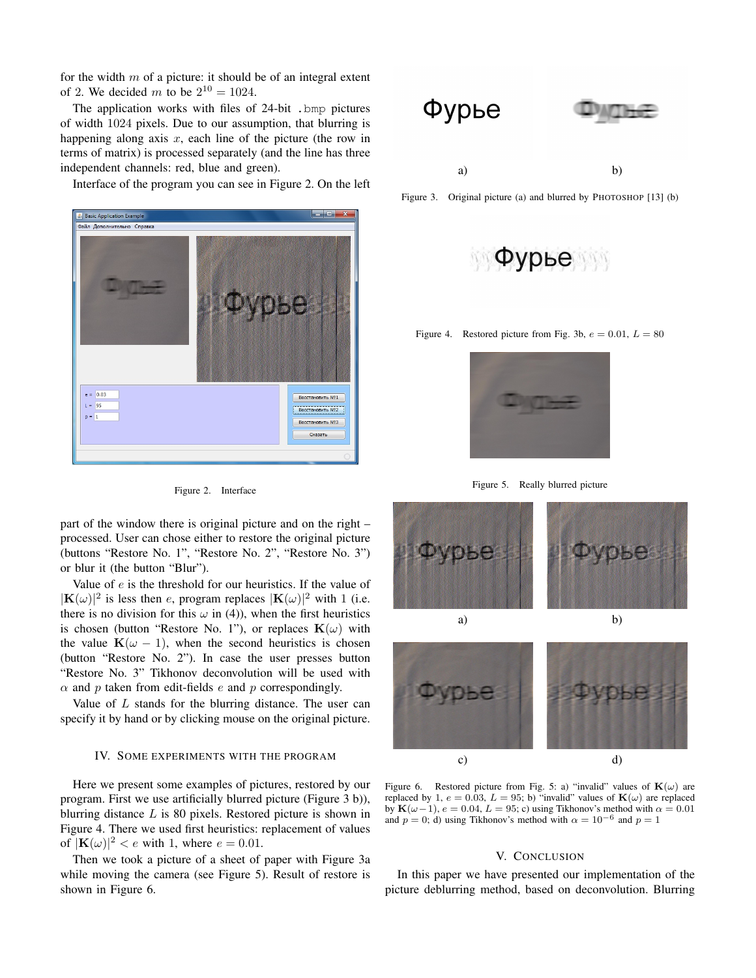for the width  $m$  of a picture: it should be of an integral extent of 2. We decided *m* to be  $2^{10} = 1024$ .

The application works with files of 24-bit .bmp pictures of width 1024 pixels. Due to our assumption, that blurring is happening along axis  $x$ , each line of the picture (the row in terms of matrix) is processed separately (and the line has three independent channels: red, blue and green).

Interface of the program you can see in Figure 2. On the left



Figure 2. Interface

part of the window there is original picture and on the right – processed. User can chose either to restore the original picture (buttons "Restore No. 1", "Restore No. 2", "Restore No. 3") or blur it (the button "Blur").

Value of  $e$  is the threshold for our heuristics. If the value of  $|\mathbf{K}(\omega)|^2$  is less then e, program replaces  $|\mathbf{K}(\omega)|^2$  with 1 (i.e. there is no division for this  $\omega$  in (4)), when the first heuristics is chosen (button "Restore No. 1"), or replaces  ${\bf K}(\omega)$  with the value  ${\bf K}(\omega - 1)$ , when the second heuristics is chosen (button "Restore No. 2"). In case the user presses button "Restore No. 3" Tikhonov deconvolution will be used with  $\alpha$  and  $p$  taken from edit-fields  $e$  and  $p$  correspondingly.

Value of  $L$  stands for the blurring distance. The user can specify it by hand or by clicking mouse on the original picture.

# IV. SOME EXPERIMENTS WITH THE PROGRAM

Here we present some examples of pictures, restored by our program. First we use artificially blurred picture (Figure 3 b)), blurring distance  $L$  is 80 pixels. Restored picture is shown in Figure 4. There we used first heuristics: replacement of values of  $|\mathbf{K}(\omega)|^2 < e$  with 1, where  $e = 0.01$ .

Then we took a picture of a sheet of paper with Figure 3a while moving the camera (see Figure 5). Result of restore is shown in Figure 6.



Figure 3. Original picture (a) and blurred by PHOTOSHOP [13] (b)



Figure 4. Restored picture from Fig. 3b,  $e = 0.01, L = 80$ 



Figure 5. Really blurred picture



Figure 6. Restored picture from Fig. 5: a) "invalid" values of  $\mathbf{K}(\omega)$  are replaced by 1,  $e = 0.03$ ,  $L = 95$ ; b) "invalid" values of  $\mathbf{K}(\omega)$  are replaced by  ${\bf K}(\omega-1)$ ,  $e = 0.04, L = 95$ ; c) using Tikhonov's method with  $\alpha = 0.01$ and  $p = 0$ ; d) using Tikhonov's method with  $\alpha = 10^{-6}$  and  $p = 1$ 

### V. CONCLUSION

In this paper we have presented our implementation of the picture deblurring method, based on deconvolution. Blurring